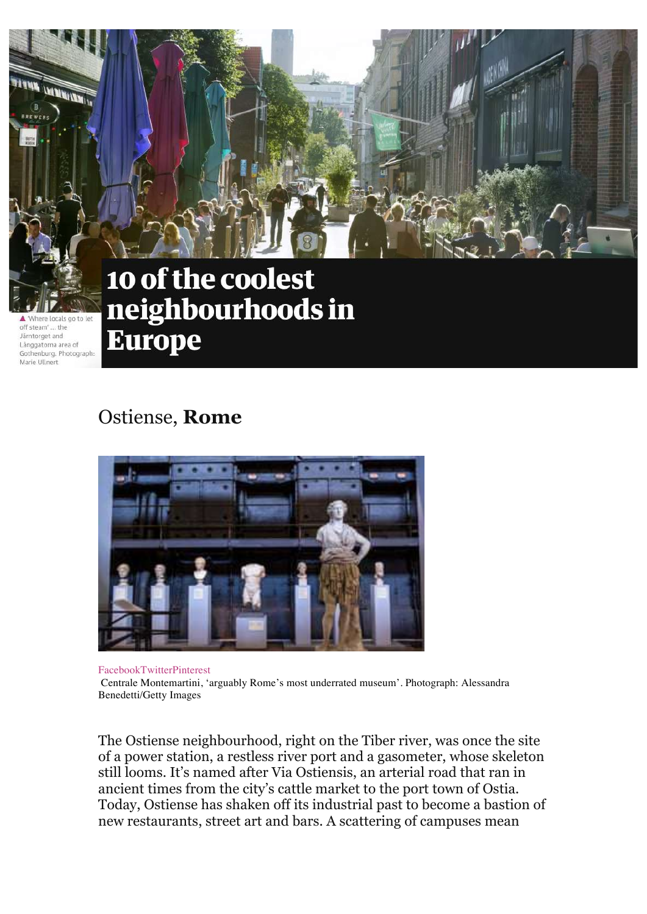

'Where locals go to let off steam' ... the Järntorget and Långgatorna area of Gothenburg, Photograph: Marie Ullnert

# 10 of the coolest neighbourhoods in **Europe**

## Ostiense, **Rome**



FacebookTwitterPinterest Centrale Montemartini, 'arguably Rome's most underrated museum'. Photograph: Alessandra Benedetti/Getty Images

The Ostiense neighbourhood, right on the Tiber river, was once the site of a power station, a restless river port and a gasometer, whose skeleton still looms. It's named after Via Ostiensis, an arterial road that ran in ancient times from the city's cattle market to the port town of Ostia. Today, Ostiense has shaken off its industrial past to become a bastion of new restaurants, street art and bars. A scattering of campuses mean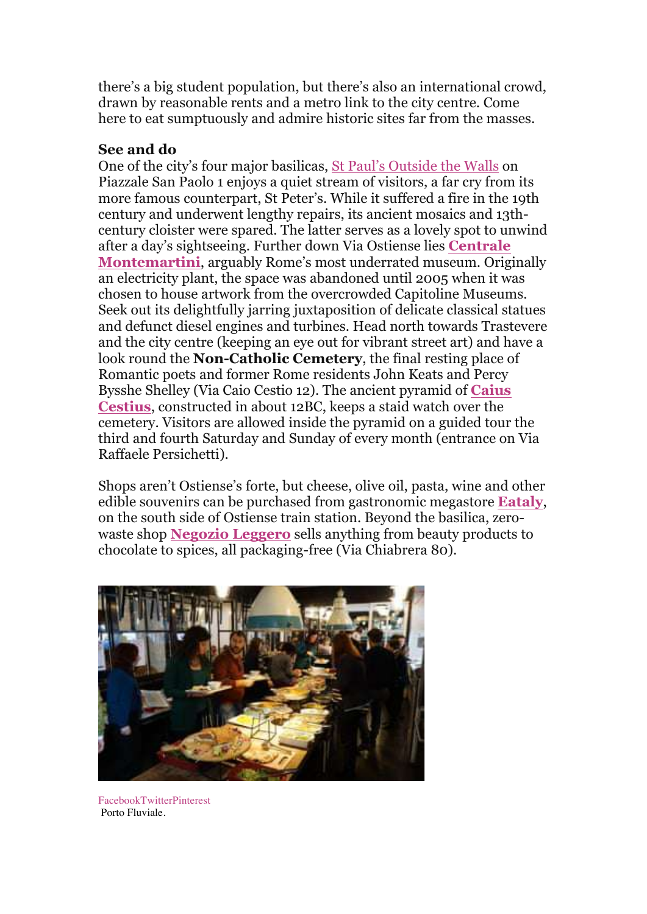there's a big student population, but there's also an international crowd, drawn by reasonable rents and a metro link to the city centre. Come here to eat sumptuously and admire historic sites far from the masses.

### **See and do**

One of the city's four major basilicas, St Paul's Outside the Walls on Piazzale San Paolo 1 enjoys a quiet stream of visitors, a far cry from its more famous counterpart, St Peter's. While it suffered a fire in the 19th century and underwent lengthy repairs, its ancient mosaics and 13thcentury cloister were spared. The latter serves as a lovely spot to unwind after a day's sightseeing. Further down Via Ostiense lies **Centrale Montemartini**, arguably Rome's most underrated museum. Originally an electricity plant, the space was abandoned until 2005 when it was chosen to house artwork from the overcrowded Capitoline Museums. Seek out its delightfully jarring juxtaposition of delicate classical statues and defunct diesel engines and turbines. Head north towards Trastevere and the city centre (keeping an eye out for vibrant street art) and have a look round the **Non-Catholic Cemetery**, the final resting place of Romantic poets and former Rome residents John Keats and Percy Bysshe Shelley (Via Caio Cestio 12). The ancient pyramid of **Caius Cestius**, constructed in about 12BC, keeps a staid watch over the cemetery. Visitors are allowed inside the pyramid on a guided tour the third and fourth Saturday and Sunday of every month (entrance on Via Raffaele Persichetti).

Shops aren't Ostiense's forte, but cheese, olive oil, pasta, wine and other edible souvenirs can be purchased from gastronomic megastore **Eataly**, on the south side of Ostiense train station. Beyond the basilica, zerowaste shop **Negozio Leggero** sells anything from beauty products to chocolate to spices, all packaging-free (Via Chiabrera 80).



FacebookTwitterPinterest Porto Fluviale.